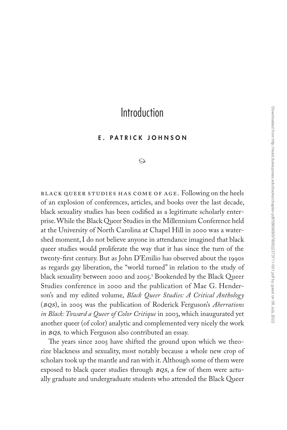## Introduction

## [E. PATRICK JOHNSON](#page--1-0)

 $\odot$ 

black queer studies has come of age. Following on the heels of an explosion of conferences, articles, and books over the last decade, black sexuality studies has been codified as a legitimate scholarly enterprise. While the Black Queer Studies in the Millennium Conference held at the University of North Carolina at Chapel Hill in 2000 was a watershed moment, I do not believe anyone in attendance imagined that black queer studies would proliferate the way that it has since the turn of the twenty-first century. But as John D'Emilio has observed about the 1990s as regards gay liberation, the "world turned" in relation to the study of black sexuality between 2000 and 2005.[1](#page-22-0) Bookended by the Black Queer Studies conference in 2000 and the publication of Mae G. Henderson's and my edited volume, *Black Queer Studies: A Critical Anthology* (bqs), in 2005 was the publication of Roderick Ferguson's *Aberrations in Black: Toward a Queer of Color Critique* in 2003, which inaugurated yet another queer (of color) analytic and complemented very nicely the work in *BQS*, to which Ferguson also contributed an essay.

The years since 2005 have shifted the ground upon which we theorize blackness and sexuality, most notably because a whole new crop of scholars took up the mantle and ran with it. Although some of them were exposed to black queer studies through  $BQS$ , a few of them were actually graduate and undergraduate students who attended the Black Queer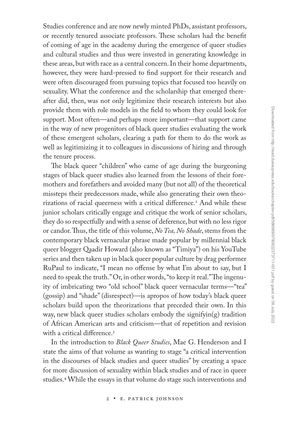Studies conference and are now newly minted PhDs, assistant professors, or recently tenured associate professors. These scholars had the benefit of coming of age in the academy during the emergence of queer studies and cultural studies and thus were invested in generating knowledge in these areas, but with race as a central concern. In their home departments, however, they were hard-pressed to find support for their research and were often discouraged from pursuing topics that focused too heavily on sexuality. What the conference and the scholarship that emerged thereafter did, then, was not only legitimize their research interests but also provide them with role models in the field to whom they could look for support. Most often—and perhaps more important—that support came in the way of new progenitors of black queer studies evaluating the work of these emergent scholars, clearing a path for them to do the work as well as legitimizing it to colleagues in discussions of hiring and through the tenure process.

The black queer "children" who came of age during the burgeoning stages of black queer studies also learned from the lessons of their foremothers and forefathers and avoided many (but not all) of the theoretical missteps their predecessors made, while also generating their own theorizations of racial queerness with a critical difference.[2](#page-22-0) And while these junior scholars critically engage and critique the work of senior scholars, they do so respectfully and with a sense of deference, but with no less rigor or candor. Thus, the title of this volume, *No Tea, No Shade*, stems from the contemporary black vernacular phrase made popular by millennial black queer blogger Qaadir Howard (also known as "Timiya") on his YouTube series and then taken up in black queer popular culture by drag performer RuPaul to indicate, "I mean no offense by what I'm about to say, but I need to speak the truth." Or, in other words, "to keep it real." The ingenuity of imbricating two "old school" black queer vernacular terms—"tea" (gossip) and "shade" (disrespect)—is apropos of how today's black queer scholars build upon the theorizations that preceded their own. In this way, new black queer studies scholars embody the signifyin(g) tradition of African American arts and criticism—that of repetition and revision with a critical difference.<sup>[3](#page-22-0)</sup>

In the introduction to *Black Queer Studies*, Mae G. Henderson and I state the aims of that volume as wanting to stage "a critical intervention in the discourses of black studies and queer studies" by creating a space for more discussion of sexuality within black studies and of race in queer studies.[4](#page-22-0) While the essays in that volume do stage such interventions and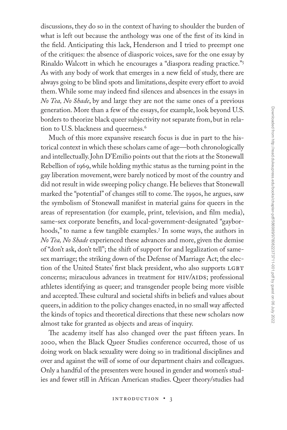discussions, they do so in the context of having to shoulder the burden of what is left out because the anthology was one of the first of its kind in the field. Anticipating this lack, Henderson and I tried to preempt one of the critiques: the absence of diasporic voices, save for the one essay by Rinaldo Walcott in which he encourages a "diaspora reading practice."[5](#page-22-0) As with any body of work that emerges in a new field of study, there are always going to be blind spots and limitations, despite every effort to avoid them. While some may indeed find silences and absences in the essays in *No Tea, No Shade*, by and large they are not the same ones of a previous generation. More than a few of the essays, for example, look beyond U.S. borders to theorize black queer subjectivity not separate from, but in relation to U.S. blackness and queerness.<sup>6</sup>

Much of this more expansive research focus is due in part to the historical context in which these scholars came of age—both chronologically and intellectually. John D'Emilio points out that the riots at the Stonewall Rebellion of 1969, while holding mythic status as the turning point in the gay liberation movement, were barely noticed by most of the country and did not result in wide sweeping policy change. He believes that Stonewall marked the "potential" of changes still to come. The 1990s, he argues, saw the symbolism of Stonewall manifest in material gains for queers in the areas of representation (for example, print, television, and film media), same-sex corporate benefits, and local-government-designated "gayborhoods," to name a few tangible examples[.7](#page-23-0) In some ways, the authors in *No Tea, No Shade* experienced these advances and more, given the demise of "don't ask, don't tell"; the shift of support for and legalization of samesex marriage; the striking down of the Defense of Marriage Act; the election of the United States' first black president, who also supports LGBT concerns; miraculous advances in treatment for HIV/AIDS; professional athletes identifying as queer; and transgender people being more visible and accepted. These cultural and societal shifts in beliefs and values about queers, in addition to the policy changes enacted, in no small way affected the kinds of topics and theoretical directions that these new scholars now almost take for granted as objects and areas of inquiry.

The academy itself has also changed over the past fifteen years. In 2000, when the Black Queer Studies conference occurred, those of us doing work on black sexuality were doing so in traditional disciplines and over and against the will of some of our department chairs and colleagues. Only a handful of the presenters were housed in gender and women's studies and fewer still in African American studies. Queer theory/studies had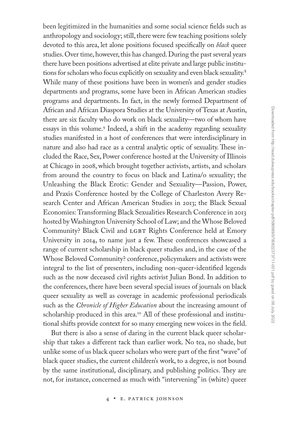been legitimized in the humanities and some social science fields such as anthropology and sociology; still, there were few teaching positions solely devoted to this area, let alone positions focused specifically on *black* queer studies. Over time, however, this has changed. During the past several years there have been positions advertised at elite private and large public institutions for scholars who focus explicitly on sexuality and even black sexuality.[8](#page-23-0) While many of these positions have been in women's and gender studies departments and programs, some have been in African American studies programs and departments. In fact, in the newly formed Department of African and African Diaspora Studies at the University of Texas at Austin, there are six faculty who do work on black sexuality—two of whom have essays in this volume[.9](#page-23-0) Indeed, a shift in the academy regarding sexuality studies manifested in a host of conferences that were interdisciplinary in nature and also had race as a central analytic optic of sexuality. These included the Race, Sex, Power conference hosted at the University of Illinois at Chicago in 2008, which brought together activists, artists, and scholars from around the country to focus on black and Latina/o sexuality; the Unleashing the Black Erotic: Gender and Sexuality—Passion, Power, and Praxis Conference hosted by the College of Charleston Avery Research Center and African American Studies in 2013; the Black Sexual Economies: Transforming Black Sexualities Research Conference in 2013 hosted by Washington University School of Law; and the Whose Beloved Community? Black Civil and LGBT Rights Conference held at Emory University in 2014, to name just a few. These conferences showcased a range of current scholarship in black queer studies and, in the case of the Whose Beloved Community? conference, policymakers and activists were integral to the list of presenters, including non-queer-identified legends such as the now deceased civil rights activist Julian Bond. In addition to the conferences, there have been several special issues of journals on black queer sexuality as well as coverage in academic professional periodicals such as the *Chronicle of Higher Education* about the increasing amount of scholarship produced in this area.<sup>10</sup> All of these professional and institutional shifts provide context for so many emerging new voices in the field. But there is also a sense of daring in the current black queer scholar-

ship that takes a diferent tack than earlier work. No tea, no shade, but unlike some of us black queer scholars who were part of the first "wave" of black queer studies, the current children's work, to a degree, is not bound by the same institutional, disciplinary, and publishing politics. They are not, for instance, concerned as much with "intervening" in (white) queer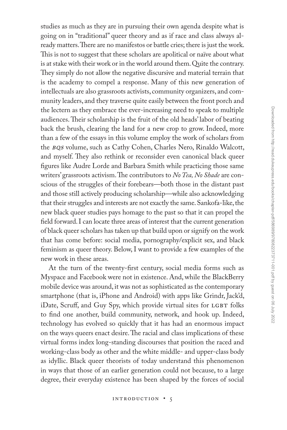studies as much as they are in pursuing their own agenda despite what is going on in "traditional" queer theory and as if race and class always already matters.There are no manifestos or battle cries; there is just the work. This is not to suggest that these scholars are apolitical or naïve about what is at stake with their work or in the world around them. Quite the contrary. They simply do not allow the negative discursive and material terrain that is the academy to compel a response. Many of this new generation of intellectuals are also grassroots activists, community organizers, and community leaders, and they traverse quite easily between the front porch and the lectern as they embrace the ever-increasing need to speak to multiple audiences. Their scholarship is the fruit of the old heads' labor of beating back the brush, clearing the land for a new crop to grow. Indeed, more than a few of the essays in this volume employ the work of scholars from the BQS volume, such as Cathy Cohen, Charles Nero, Rinaldo Walcott, and myself. They also rethink or reconsider even canonical black queer figures like Audre Lorde and Barbara Smith while practicing those same writers' grassroots activism. The contributors to *No Tea, No Shade* are conscious of the struggles of their forebears—both those in the distant past and those still actively producing scholarship—while also acknowledging that their struggles and interests are not exactly the same. Sankofa-like, the new black queer studies pays homage to the past so that it can propel the field forward. I can locate three areas of interest that the current generation of black queer scholars has taken up that build upon or signify on the work that has come before: social media, pornography/explicit sex, and black feminism as queer theory. Below, I want to provide a few examples of the new work in these areas.

At the turn of the twenty-first century, social media forms such as Myspace and Facebook were not in existence. And, while the BlackBerry mobile device was around, it was not as sophisticated as the contemporary smartphone (that is, iPhone and Android) with apps like Grindr, Jack'd, iDate, Scruff, and Guy Spy, which provide virtual sites for LGBT folks to find one another, build community, network, and hook up. Indeed, technology has evolved so quickly that it has had an enormous impact on the ways queers enact desire. The racial and class implications of these virtual forms index long-standing discourses that position the raced and working-class body as other and the white middle- and upper-class body as idyllic. Black queer theorists of today understand this phenomenon in ways that those of an earlier generation could not because, to a large degree, their everyday existence has been shaped by the forces of social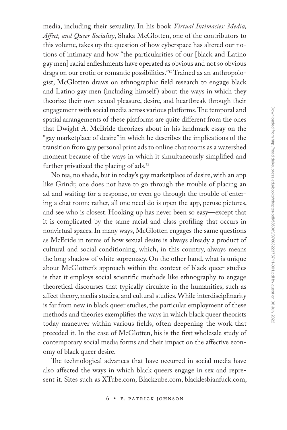media, including their sexuality. In his book *Virtual Intimacies: Media, Affect, and Queer Sociality*, Shaka McGlotten, one of the contributors to this volume, takes up the question of how cyberspace has altered our notions of intimacy and how "the particularities of our [black and Latino gay men] racial enfleshments have operated as obvious and not so obvious drags on our erotic or romantic possibilities."<sup>11</sup> Trained as an anthropologist, McGlotten draws on ethnographic field research to engage black and Latino gay men (including himself) about the ways in which they theorize their own sexual pleasure, desire, and heartbreak through their engagement with social media across various platforms. The temporal and spatial arrangements of these platforms are quite diferent from the ones that Dwight A. McBride theorizes about in his landmark essay on the "gay marketplace of desire" in which he describes the implications of the transition from gay personal print ads to online chat rooms as a watershed moment because of the ways in which it simultaneously simplified and further privatized the placing of ads.<sup>12</sup>

No tea, no shade, but in today's gay marketplace of desire, with an app like Grindr, one does not have to go through the trouble of placing an ad and waiting for a response, or even go through the trouble of entering a chat room; rather, all one need do is open the app, peruse pictures, and see who is closest. Hooking up has never been so easy—except that it is complicated by the same racial and class profiling that occurs in nonvirtual spaces. In many ways, McGlotten engages the same questions as McBride in terms of how sexual desire is always already a product of cultural and social conditioning, which, in this country, always means the long shadow of white supremacy. On the other hand, what is unique about McGlotten's approach within the context of black queer studies is that it employs social scientific methods like ethnography to engage theoretical discourses that typically circulate in the humanities, such as affect theory, media studies, and cultural studies. While interdisciplinarity is far from new in black queer studies, the particular employment of these methods and theories exemplifies the ways in which black queer theorists today maneuver within various fields, often deepening the work that preceded it. In the case of McGlotten, his is the first wholesale study of contemporary social media forms and their impact on the affective economy of black queer desire.

The technological advances that have occurred in social media have also affected the ways in which black queers engage in sex and represent it. Sites such as XTube.com, Black2ube.com, blacklesbianfuck.com,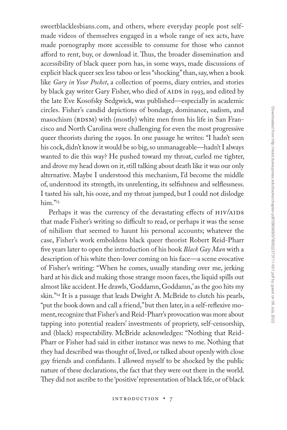sweetblacklesbians.com, and others, where everyday people post selfmade videos of themselves engaged in a whole range of sex acts, have made pornography more accessible to consume for those who cannot afford to rent, buy, or download it. Thus, the broader dissemination and accessibility of black queer porn has, in some ways, made discussions of explicit black queer sex less taboo or less "shocking" than, say, when a book like *Gary in Your Pocket*, a collection of poems, diary entries, and stories by black gay writer Gary Fisher, who died of AIDS in 1993, and edited by the late Eve Kosofsky Sedgwick, was published—especially in academic circles. Fisher's candid depictions of bondage, dominance, sadism, and masochism (BDSM) with (mostly) white men from his life in San Francisco and North Carolina were challenging for even the most progressive queer theorists during the 1990s. In one passage he writes: "I hadn't seen his cock, didn't know it would be so big, so unmanageable—hadn't I always wanted to die this way? He pushed toward my throat, curled me tighter, and drove my head down on it, still talking about death like it was our only alternative. Maybe I understood this mechanism, I'd become the middle of, understood its strength, its unrelenting, its selfishness and selflessness. I tasted his salt, his ooze, and my throat jumped, but I could not dislodge  $him.$ "<sup>[13](#page-23-0)</sup>

Perhaps it was the currency of the devastating effects of HIV/AIDS that made Fisher's writing so difficult to read, or perhaps it was the sense of nihilism that seemed to haunt his personal accounts; whatever the case, Fisher's work emboldens black queer theorist Robert Reid-Pharr five years later to open the introduction of his book *Black Gay Man* with a description of his white then-lover coming on his face—a scene evocative of Fisher's writing: "When he comes, usually standing over me, jerking hard at his dick and making those strange moon faces, the liquid spills out almost like accident. He drawls, 'Goddamn, Goddamn,' as the goo hits my skin.["14](#page-23-0) It is a passage that leads Dwight A. McBride to clutch his pearls, "put the book down and call a friend," but then later, in a self-reflexive moment, recognize that Fisher's and Reid-Pharr's provocation was more about tapping into potential readers' investments of propriety, self-censorship, and (black) respectability. McBride acknowledges: "Nothing that Reid-Pharr or Fisher had said in either instance was news to me. Nothing that they had described was thought of, lived, or talked about openly with close gay friends and confidants. I allowed myself to be shocked by the public nature of these declarations, the fact that they were out there in the world. They did not ascribe to the 'positive' representation of black life, or of black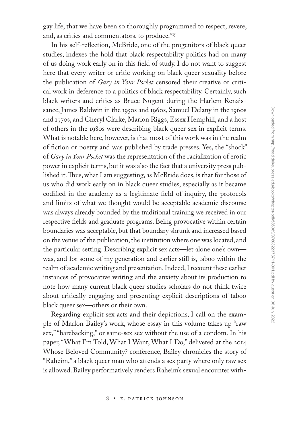gay life, that we have been so thoroughly programmed to respect, revere, and, as critics and commentators, to produce."[15](#page-23-0)

In his self-reflection, McBride, one of the progenitors of black queer studies, indexes the hold that black respectability politics had on many of us doing work early on in this field of study. I do not want to suggest here that every writer or critic working on black queer sexuality before the publication of *Gary in Your Pocket* censored their creative or critical work in deference to a politics of black respectability. Certainly, such black writers and critics as Bruce Nugent during the Harlem Renaissance, James Baldwin in the 1950s and 1960s, Samuel Delany in the 1960s and 1970s, and Cheryl Clarke, Marlon Riggs, Essex Hemphill, and a host of others in the 1980s were describing black queer sex in explicit terms. What is notable here, however, is that most of this work was in the realm of fiction or poetry and was published by trade presses. Yes, the "shock" of *Gary in Your Pocket* was the representation of the racialization of erotic power in explicit terms, but it was also the fact that a university press published it. Thus, what I am suggesting, as McBride does, is that for those of us who did work early on in black queer studies, especially as it became codified in the academy as a legitimate field of inquiry, the protocols and limits of what we thought would be acceptable academic discourse was always already bounded by the traditional training we received in our respective fields and graduate programs. Being provocative within certain boundaries was acceptable, but that boundary shrunk and increased based on the venue of the publication, the institution where one was located, and the particular setting. Describing explicit sex acts—let alone one's own was, and for some of my generation and earlier still is, taboo within the realm of academic writing and presentation. Indeed, I recount these earlier instances of provocative writing and the anxiety about its production to note how many current black queer studies scholars do not think twice about critically engaging and presenting explicit descriptions of taboo black queer sex—others or their own.

Regarding explicit sex acts and their depictions, I call on the example of Marlon Bailey's work, whose essay in this volume takes up "raw sex," "barebacking," or same-sex sex without the use of a condom. In his paper, "What I'm Told, What I Want, What I Do," delivered at the 2014 Whose Beloved Community? conference, Bailey chronicles the story of "Raheim," a black queer man who attends a sex party where only raw sex is allowed. Bailey performatively renders Raheim's sexual encounter with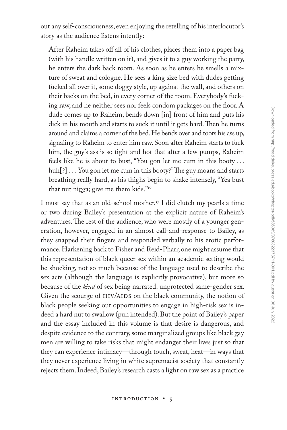out any self-consciousness, even enjoying the retelling of his interlocutor's story as the audience listens intently:

After Raheim takes off all of his clothes, places them into a paper bag (with his handle written on it), and gives it to a guy working the party, he enters the dark back room. As soon as he enters he smells a mixture of sweat and cologne. He sees a king size bed with dudes getting fucked all over it, some doggy style, up against the wall, and others on their backs on the bed, in every corner of the room. Everybody's fucking raw, and he neither sees nor feels condom packages on the floor. A dude comes up to Raheim, bends down [in] front of him and puts his dick in his mouth and starts to suck it until it gets hard. Then he turns around and claims a corner of the bed. He bends over and toots his ass up, signaling to Raheim to enter him raw. Soon after Raheim starts to fuck him, the guy's ass is so tight and hot that after a few pumps, Raheim feels like he is about to bust, "You gon let me cum in this booty . . . huh[?] . . . You gon let me cum in this booty?" The guy moans and starts breathing really hard, as his thighs begin to shake intensely, "Yea bust that nut nigga; give me them kids."[16](#page-23-0)

I must say that as an old-school mother, [17](#page-23-0) I did clutch my pearls a time or two during Bailey's presentation at the explicit nature of Raheim's adventures. The rest of the audience, who were mostly of a younger generation, however, engaged in an almost call-and-response to Bailey, as they snapped their fingers and responded verbally to his erotic performance. Harkening back to Fisher and Reid-Pharr, one might assume that this representation of black queer sex within an academic setting would be shocking, not so much because of the language used to describe the sex acts (although the language is explicitly provocative), but more so because of the *kind* of sex being narrated: unprotected same-gender sex. Given the scourge of HIV/AIDS on the black community, the notion of black people seeking out opportunities to engage in high-risk sex is indeed a hard nut to swallow (pun intended). But the point of Bailey's paper and the essay included in this volume is that desire is dangerous, and despite evidence to the contrary, some marginalized groups like black gay men are willing to take risks that might endanger their lives just so that they can experience intimacy—through touch, sweat, heat—in ways that they never experience living in white supremacist society that constantly rejects them. Indeed, Bailey's research casts a light on raw sex as a practice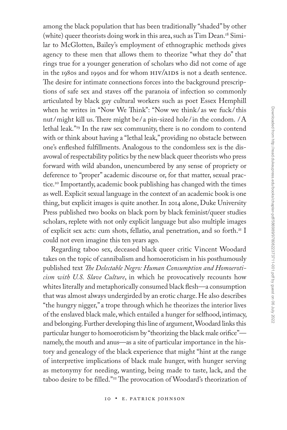among the black population that has been traditionally "shaded" by other (white) queer theorists doing work in this area, such as Tim Dean[.18](#page-23-0) Similar to McGlotten, Bailey's employment of ethnographic methods gives agency to these men that allows them to theorize "what they do" that rings true for a younger generation of scholars who did not come of age in the 1980s and 1990s and for whom  $HIV/AIDS$  is not a death sentence. The desire for intimate connections forces into the background prescriptions of safe sex and staves off the paranoia of infection so commonly articulated by black gay cultural workers such as poet Essex Hemphill when he writes in "Now We Think": "Now we think/as we fuck/this nut/might kill us. There might be/a pin-sized hole/in the condom. /A lethal leak."[19](#page-24-0) In the raw sex community, there is no condom to contend with or think about having a "lethal leak," providing no obstacle between one's enfleshed fulfillments. Analogous to the condomless sex is the disavowal of respectability politics by the new black queer theorists who press forward with wild abandon, unencumbered by any sense of propriety or deference to "proper" academic discourse or, for that matter, sexual practice[.20](#page-24-0) Importantly, academic book publishing has changed with the times as well. Explicit sexual language in the context of an academic book is one thing, but explicit images is quite another. In 2014 alone, Duke University Press published two books on black porn by black feminist/queer studies scholars, replete with not only explicit language but also multiple images of explicit sex acts: cum shots, fellatio, anal penetration, and so forth.<sup>21</sup> I could not even imagine this ten years ago.

Regarding taboo sex, deceased black queer critic Vincent Woodard takes on the topic of cannibalism and homoeroticism in his posthumously published text *The Delectable Negro: Human Consumption and Homoeroticism with U.S. Slave Culture*, in which he provocatively recounts how whites literally and metaphorically consumed black flesh—a consumption that was almost always undergirded by an erotic charge. He also describes "the hungry nigger," a trope through which he theorizes the interior lives of the enslaved black male, which entailed a hunger for selfhood, intimacy, and belonging. Further developing this line of argument, Woodard links this particular hunger to homoeroticism by "theorizing the black male orifice" namely, the mouth and anus—as a site of particular importance in the history and genealogy of the black experience that might "hint at the range of interpretive implications of black male hunger, with hunger serving as metonymy for needing, wanting, being made to taste, lack, and the taboo desire to be filled."[22](#page-24-0) The provocation of Woodard's theorization of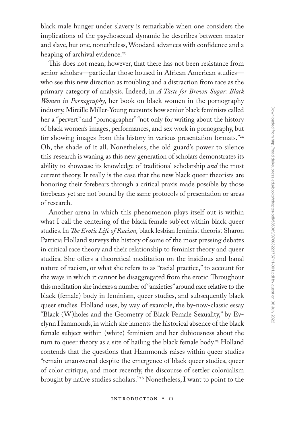black male hunger under slavery is remarkable when one considers the implications of the psychosexual dynamic he describes between master and slave, but one, nonetheless, Woodard advances with confidence and a heaping of archival evidence.<sup>[23](#page-24-0)</sup>

This does not mean, however, that there has not been resistance from senior scholars—particular those housed in African American studies who see this new direction as troubling and a distraction from race as the primary category of analysis. Indeed, in *A Taste for Brown Sugar: Black Women in Pornography*, her book on black women in the pornography industry, Mireille Miller-Young recounts how senior black feminists called her a "pervert" and "pornographer" "not only for writing about the history of black women's images, performances, and sex work in pornography, but for showing images from this history in various presentation formats.["24](#page-24-0) Oh, the shade of it all. Nonetheless, the old guard's power to silence this research is waning as this new generation of scholars demonstrates its ability to showcase its knowledge of traditional scholarship *and* the most current theory. It really is the case that the new black queer theorists are honoring their forebears through a critical praxis made possible by those forebears yet are not bound by the same protocols of presentation or areas of research.

Another arena in which this phenomenon plays itself out is within what I call the centering of the black female subject within black queer studies. In *The Erotic Life of Racism,* black lesbian feminist theorist Sharon Patricia Holland surveys the history of some of the most pressing debates in critical race theory and their relationship to feminist theory and queer studies. She offers a theoretical meditation on the insidious and banal nature of racism, or what she refers to as "racial practice," to account for the ways in which it cannot be disaggregated from the erotic. Throughout this meditation she indexes a number of "anxieties" around race relative to the black (female) body in feminism, queer studies, and subsequently black queer studies. Holland uses, by way of example, the by-now-classic essay "Black (W)holes and the Geometry of Black Female Sexuality," by Evelynn Hammonds, in which she laments the historical absence of the black female subject within (white) feminism and her dubiousness about the turn to queer theory as a site of hailing the black female body.<sup>[25](#page-24-0)</sup> Holland contends that the questions that Hammonds raises within queer studies "remain unanswered despite the emergence of black queer studies, queer of color critique, and most recently, the discourse of settler colonialism brought by native studies scholars."[26](#page-24-0) Nonetheless, I want to point to the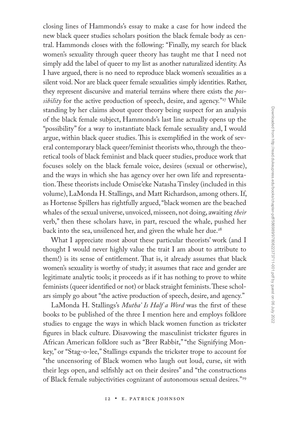closing lines of Hammonds's essay to make a case for how indeed the new black queer studies scholars position the black female body as central. Hammonds closes with the following: "Finally, my search for black women's sexuality through queer theory has taught me that I need not simply add the label of queer to my list as another naturalized identity. As I have argued, there is no need to reproduce black women's sexualities as a silent void. Nor are black queer female sexualities simply identities. Rather, they represent discursive and material terrains where there exists the *possibility* for the active production of speech, desire, and agency."<sup>[27](#page-25-0)</sup> While standing by her claims about queer theory being suspect for an analysis of the black female subject, Hammonds's last line actually opens up the "possibility" for a way to instantiate black female sexuality and, I would argue, within black queer studies. This is exemplified in the work of several contemporary black queer/feminist theorists who, through the theoretical tools of black feminist and black queer studies, produce work that focuses solely on the black female voice, desires (sexual or otherwise), and the ways in which she has agency over her own life and representation. These theorists include Omise'eke Natasha Tinsley (included in this volume), LaMonda H. Stallings, and Matt Richardson, among others. If, as Hortense Spillers has rightfully argued, "black women are the beached whales of the sexual universe, unvoiced, misseen, not doing, awaiting *their* verb," then these scholars have, in part, rescued the whale, pushed her back into the sea, unsilenced her, and given the whale her due. [28](#page-25-0)

What I appreciate most about these particular theorists' work (and I thought I would never highly value the trait I am about to attribute to them!) is its sense of entitlement. That is, it already assumes that black women's sexuality is worthy of study; it assumes that race and gender are legitimate analytic tools; it proceeds as if it has nothing to prove to white feminists (queer identified or not) or black straight feminists. These scholars simply go about "the active production of speech, desire, and agency."

LaMonda H. Stallings's *Mutha' Is Half a Word* was the first of these books to be published of the three I mention here and employs folklore studies to engage the ways in which black women function as trickster figures in black culture. Disavowing the masculinist trickster figures in African American folklore such as "Brer Rabbit," "the Signifying Monkey," or "Stag-o-lee," Stallings expands the trickster trope to account for "the uncensoring of Black women who laugh out loud, curse, sit with their legs open, and selfishly act on their desires" and "the constructions of Black female subjectivities cognizant of autonomous sexual desires."[29](#page-25-0)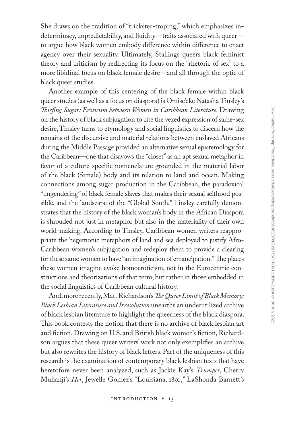She draws on the tradition of "trickster-troping," which emphasizes indeterminacy, unpredictability, and fluidity—traits associated with queer to argue how black women embody difference within difference to enact agency over their sexuality. Ultimately, Stallings queers black feminist theory and criticism by redirecting its focus on the "rhetoric of sex" to a more libidinal focus on black female desire—and all through the optic of black queer studies.

Another example of this centering of the black female within black queer studies (as well as a focus on diaspora) is Omise'eke Natasha Tinsley's *Thiefing Sugar: Eroticism between Women in Caribbean Literature*. Drawing on the history of black subjugation to cite the vexed expression of same-sex desire, Tinsley turns to etymology and social linguistics to discern how the remains of the discursive and material relations between enslaved Africans during the Middle Passage provided an alternative sexual epistemology for the Caribbean—one that disavows the "closet" as an apt sexual metaphor in favor of a culture-specific nomenclature grounded in the material labor of the black (female) body and its relation to land and ocean. Making connections among sugar production in the Caribbean, the paradoxical "ungendering" of black female slaves that makes their sexual selfhood possible, and the landscape of the "Global South," Tinsley carefully demonstrates that the history of the black woman's body in the African Diaspora is shrouded not just in metaphor but also in the materiality of their own world-making. According to Tinsley, Caribbean women writers reappropriate the hegemonic metaphors of land and sea deployed to justify Afro-Caribbean women's subjugation and redeploy them to provide a clearing for these same women to have "an imagination of emancipation." The places these women imagine evoke homoeroticism, not in the Eurocentric constructions and theorizations of that term, but rather in those embedded in the social linguistics of Caribbean cultural history.

And, more recently, Matt Richardson's *The Queer Limit of Black Memory: Black Lesbian Literature and Irresolution* unearths an underutilized archive of black lesbian literature to highlight the queerness of the black diaspora. This book contests the notion that there is no archive of black lesbian art and fiction. Drawing on U.S. and British black women's fiction, Richardson argues that these queer writers' work not only exemplifies an archive but also rewrites the history of black letters. Part of the uniqueness of this research is the examination of contemporary black lesbian texts that have heretofore never been analyzed, such as Jackie Kay's *Trumpet*, Cherry Muhanji's *Her*, Jewelle Gomez's "Louisiana, 1850," LaShonda Barnett's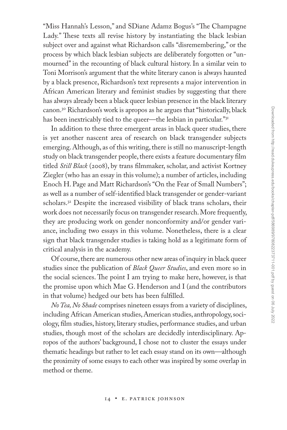"Miss Hannah's Lesson," and SDiane Adamz Bogus's "The Champagne Lady." These texts all revise history by instantiating the black lesbian subject over and against what Richardson calls "disremembering," or the process by which black lesbian subjects are deliberately forgotten or "unmourned" in the recounting of black cultural history. In a similar vein to Toni Morrison's argument that the white literary canon is always haunted by a black presence, Richardson's text represents a major intervention in African American literary and feminist studies by suggesting that there has always already been a black queer lesbian presence in the black literary canon.[30](#page-25-0) Richardson's work is apropos as he argues that "historically, black has been inextricably tied to the queer—the lesbian in particular."<sup>31</sup>

In addition to these three emergent areas in black queer studies, there is yet another nascent area of research on black transgender subjects emerging. Although, as of this writing, there is still no manuscript-length study on black transgender people, there exists a feature documentary film titled *Still Black* (2008), by trans filmmaker, scholar, and activist Kortney Ziegler (who has an essay in this volume); a number of articles, including Enoch H. Page and Matt Richardson's "On the Fear of Small Numbers"; as well as a number of self-identified black transgender or gender-variant scholars.<sup>[32](#page-25-0)</sup> Despite the increased visibility of black trans scholars, their work does not necessarily focus on transgender research. More frequently, they are producing work on gender nonconformity and/or gender variance, including two essays in this volume. Nonetheless, there is a clear sign that black transgender studies is taking hold as a legitimate form of critical analysis in the academy.

Of course, there are numerous other new areas of inquiry in black queer studies since the publication of *Black Queer Studies*, and even more so in the social sciences. The point I am trying to make here, however, is that the promise upon which Mae G. Henderson and I (and the contributors in that volume) hedged our bets has been fulfilled.

*No Tea, No Shade* comprises nineteen essays from a variety of disciplines, including African American studies, American studies, anthropology, sociology, film studies, history, literary studies, performance studies, and urban studies, though most of the scholars are decidedly interdisciplinary. Apropos of the authors' background, I chose not to cluster the essays under thematic headings but rather to let each essay stand on its own—although the proximity of some essays to each other was inspired by some overlap in method or theme.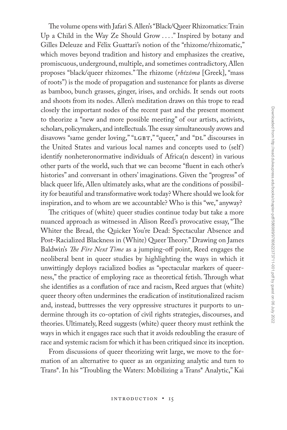The volume opens with Jafari S. Allen's "Black/Queer Rhizomatics: Train Up a Child in the Way Ze Should Grow . . . ." Inspired by botany and Gilles Deleuze and Félix Guattari's notion of the "rhizome/rhizomatic," which moves beyond tradition and history and emphasizes the creative, promiscuous, underground, multiple, and sometimes contradictory, Allen proposes "black/queer rhizomes." The rhizome (*rhízōma* [Greek], "mass of roots") is the mode of propagation and sustenance for plants as diverse as bamboo, bunch grasses, ginger, irises, and orchids. It sends out roots and shoots from its nodes. Allen's meditation draws on this trope to read closely the important nodes of the recent past and the present moment to theorize a "new and more possible meeting" of our artists, activists, scholars, policymakers, and intellectuals. The essay simultaneously avows and disavows "same gender loving," "LGBT," "queer," and "DL" discourses in the United States and various local names and concepts used to (self ) identify nonheteronormative individuals of Africa(n descent) in various other parts of the world, such that we can become "fluent in each other's histories" and conversant in others' imaginations. Given the "progress" of black queer life, Allen ultimately asks, what are the conditions of possibility for beautiful and transformative work today? Where should we look for inspiration, and to whom are we accountable? Who is this "we," anyway?

The critiques of (white) queer studies continue today but take a more nuanced approach as witnessed in Alison Reed's provocative essay, "The Whiter the Bread, the Quicker You're Dead: Spectacular Absence and Post-Racialized Blackness in (White) Queer Theory." Drawing on James Baldwin's *The Fire Next Time* as a jumping-off point, Reed engages the neoliberal bent in queer studies by highlighting the ways in which it unwittingly deploys racialized bodies as "spectacular markers of queerness," the practice of employing race as theoretical fetish. Through what she identifies as a conflation of race and racism, Reed argues that (white) queer theory often undermines the eradication of institutionalized racism and, instead, buttresses the very oppressive structures it purports to undermine through its co-optation of civil rights strategies, discourses, and theories. Ultimately, Reed suggests (white) queer theory must rethink the ways in which it engages race such that it avoids redoubling the erasure of race and systemic racism for which it has been critiqued since its inception.

From discussions of queer theorizing writ large, we move to the formation of an alternative to queer as an organizing analytic and turn to Trans\*. In his "Troubling the Waters: Mobilizing a Trans\* Analytic," Kai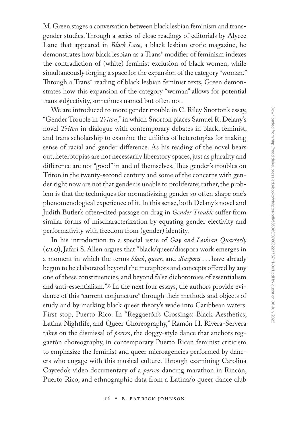M. Green stages a conversation between black lesbian feminism and transgender studies. Through a series of close readings of editorials by Alycee Lane that appeared in *Black Lace*, a black lesbian erotic magazine, he demonstrates how black lesbian as a Trans\* modifier of feminism indexes the contradiction of (white) feminist exclusion of black women, while simultaneously forging a space for the expansion of the category "woman." Through a Trans\* reading of black lesbian feminist texts, Green demonstrates how this expansion of the category "woman" allows for potential trans subjectivity, sometimes named but often not.

We are introduced to more gender trouble in C. Riley Snorton's essay, "Gender Trouble in *Triton*," in which Snorton places Samuel R. Delany's novel *Triton* in dialogue with contemporary debates in black, feminist, and trans scholarship to examine the utilities of heterotopias for making sense of racial and gender difference. As his reading of the novel bears out, heterotopias are not necessarily liberatory spaces, just as plurality and difference are not "good" in and of themselves. Thus gender's troubles on Triton in the twenty-second century and some of the concerns with gender right now are not that gender is unable to proliferate; rather, the problem is that the techniques for normativizing gender so often shape one's phenomenological experience of it. In this sense, both Delany's novel and Judith Butler's often-cited passage on drag in *Gender Trouble* suffer from similar forms of mischaracterization by equating gender electivity and performativity with freedom from (gender) identity.

In his introduction to a special issue of *Gay and Lesbian Quarterly*  $(GLQ)$ , Jafari S. Allen argues that "black/queer/diaspora work emerges in a moment in which the terms *black*, *queer*, and *diaspora* . . . have already begun to be elaborated beyond the metaphors and concepts offered by any one of these constituencies, and beyond false dichotomies of essentialism and anti-essentialism.["33](#page-25-0) In the next four essays, the authors provide evidence of this "current conjuncture" through their methods and objects of study and by marking black queer theory's wade into Caribbean waters. First stop, Puerto Rico. In "Reggaetón's Crossings: Black Aesthetics, Latina Nightlife, and Queer Choreography," Ramón H. Rivera-Servera takes on the dismissal of *perreo*, the doggy-style dance that anchors reggaetón choreography, in contemporary Puerto Rican feminist criticism to emphasize the feminist and queer microagencies performed by dancers who engage with this musical culture. Through examining Carolina Caycedo's video documentary of a *perreo* dancing marathon in Rincón, Puerto Rico, and ethnographic data from a Latina/o queer dance club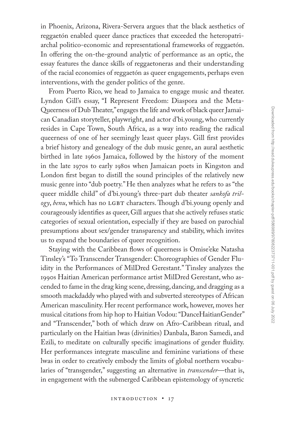in Phoenix, Arizona, Rivera-Servera argues that the black aesthetics of reggaetón enabled queer dance practices that exceeded the heteropatriarchal politico-economic and representational frameworks of reggaetón. In offering the on-the-ground analytic of performance as an optic, the essay features the dance skills of reggaetoneras and their understanding of the racial economies of reggaetón as queer engagements, perhaps even interventions, with the gender politics of the genre.

From Puerto Rico, we head to Jamaica to engage music and theater. Lyndon Gill's essay, "I Represent Freedom: Diaspora and the Meta-Queerness of Dub Theater," engages the life and work of black queer Jamaican Canadian storyteller, playwright, and actor d'bi.young, who currently resides in Cape Town, South Africa, as a way into reading the radical queerness of one of her seemingly least queer plays. Gill first provides a brief history and genealogy of the dub music genre, an aural aesthetic birthed in late 1960s Jamaica, followed by the history of the moment in the late 1970s to early 1980s when Jamaican poets in Kingston and London first began to distill the sound principles of the relatively new music genre into "dub poetry." He then analyzes what he refers to as "the queer middle child" of d'bi.young's three-part dub theater *sankofa trilogy*, *benu*, which has no lgbt characters. Though d'bi.young openly and courageously identifies as queer, Gill argues that she actively refuses static categories of sexual orientation, especially if they are based on parochial presumptions about sex/gender transparency and stability, which invites us to expand the boundaries of queer recognition.

Staying with the Caribbean flows of queerness is Omise'eke Natasha Tinsley's "To Transcender Transgender: Choreographies of Gender Fluidity in the Performances of MilDred Gerestant." Tinsley analyzes the 1990s Haitian American performance artist MilDred Gerestant, who ascended to fame in the drag king scene, dressing, dancing, and dragging as a smooth mackdaddy who played with and subverted stereotypes of African American masculinity. Her recent performance work, however, moves her musical citations from hip hop to Haitian Vodou: "DanceHaitianGender" and "Transcender," both of which draw on Afro-Caribbean ritual, and particularly on the Haitian lwas (divinities) Danbala, Baron Samedi, and Ezili, to meditate on culturally specific imaginations of gender fluidity. Her performances integrate masculine and feminine variations of these lwas in order to creatively embody the limits of global northern vocabularies of "transgender," suggesting an alternative in *transcender*—that is, in engagement with the submerged Caribbean epistemology of syncretic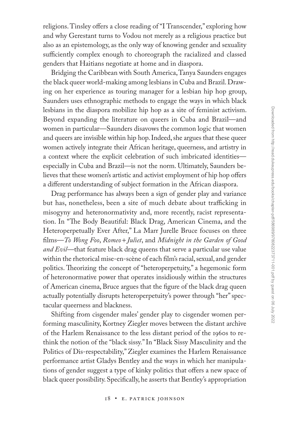religions. Tinsley offers a close reading of "I Transcender," exploring how and why Gerestant turns to Vodou not merely as a religious practice but also as an epistemology, as the only way of knowing gender and sexuality sufficiently complex enough to choreograph the racialized and classed genders that Haitians negotiate at home and in diaspora.

Bridging the Caribbean with South America, Tanya Saunders engages the black queer world-making among lesbians in Cuba and Brazil. Drawing on her experience as touring manager for a lesbian hip hop group, Saunders uses ethnographic methods to engage the ways in which black lesbians in the diaspora mobilize hip hop as a site of feminist activism. Beyond expanding the literature on queers in Cuba and Brazil—and women in particular—Saunders disavows the common logic that women and queers are invisible within hip hop. Indeed, she argues that these queer women actively integrate their African heritage, queerness, and artistry in a context where the explicit celebration of such imbricated identities especially in Cuba and Brazil—is not the norm. Ultimately, Saunders believes that these women's artistic and activist employment of hip hop offers a diferent understanding of subject formation in the African diaspora.

Drag performance has always been a sign of gender play and variance but has, nonetheless, been a site of much debate about trafficking in misogyny and heteronormativity and, more recently, racist representation. In "The Body Beautiful: Black Drag, American Cinema, and the Heteroperpetually Ever After," La Marr Jurelle Bruce focuses on three films—*To Wong Foo*, *Romeo* + *Juliet*, and *Midnight in the Garden of Good and Evil—*that feature black drag queens that serve a particular use value within the rhetorical mise-en-scène of each film's racial, sexual, and gender politics. Theorizing the concept of "heteroperpetuity," a hegemonic form of heteronormative power that operates insidiously within the structures of American cinema, Bruce argues that the figure of the black drag queen actually potentially disrupts heteroperpetuity's power through "her" spectacular queerness and blackness.

Shifting from cisgender males' gender play to cisgender women performing masculinity, Kortney Ziegler moves between the distant archive of the Harlem Renaissance to the less distant period of the 1960s to rethink the notion of the "black sissy." In "Black Sissy Masculinity and the Politics of Dis-respectability," Ziegler examines the Harlem Renaissance performance artist Gladys Bentley and the ways in which her manipulations of gender suggest a type of kinky politics that offers a new space of black queer possibility. Specifically, he asserts that Bentley's appropriation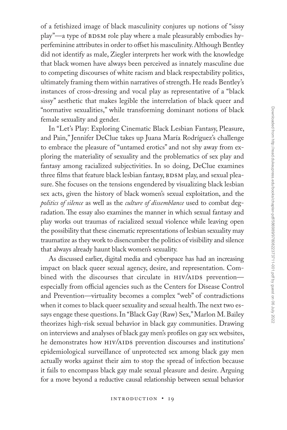of a fetishized image of black masculinity conjures up notions of "sissy play"—a type of BDSM role play where a male pleasurably embodies hyperfeminine attributes in order to offset his masculinity. Although Bentley did not identify as male, Ziegler interprets her work with the knowledge that black women have always been perceived as innately masculine due to competing discourses of white racism and black respectability politics, ultimately framing them within narratives of strength. He reads Bentley's instances of cross-dressing and vocal play as representative of a "black sissy" aesthetic that makes legible the interrelation of black queer and "normative sexualities," while transforming dominant notions of black female sexuality and gender.

In "Let's Play: Exploring Cinematic Black Lesbian Fantasy, Pleasure, and Pain," Jennifer DeClue takes up Juana María Rodríguez's challenge to embrace the pleasure of "untamed erotics" and not shy away from exploring the materiality of sexuality and the problematics of sex play and fantasy among racialized subjectivities. In so doing, DeClue examines three films that feature black lesbian fantasy, BDSM play, and sexual pleasure. She focuses on the tensions engendered by visualizing black lesbian sex acts, given the history of black women's sexual exploitation, and the *politics of silence* as well as the *culture of dissemblance* used to combat degradation. The essay also examines the manner in which sexual fantasy and play works out traumas of racialized sexual violence while leaving open the possibility that these cinematic representations of lesbian sexuality may traumatize as they work to disencumber the politics of visibility and silence that always already haunt black women's sexuality.

As discussed earlier, digital media and cyberspace has had an increasing impact on black queer sexual agency, desire, and representation. Combined with the discourses that circulate in HIV/AIDS prevention especially from official agencies such as the Centers for Disease Control and Prevention—virtuality becomes a complex "web" of contradictions when it comes to black queer sexuality and sexual health. The next two essays engage these questions. In "Black Gay (Raw) Sex," Marlon M. Bailey theorizes high-risk sexual behavior in black gay communities. Drawing on interviews and analyses of black gay men's profiles on gay sex websites, he demonstrates how HIV/AIDS prevention discourses and institutions' epidemiological surveillance of unprotected sex among black gay men actually works against their aim to stop the spread of infection because it fails to encompass black gay male sexual pleasure and desire. Arguing for a move beyond a reductive causal relationship between sexual behavior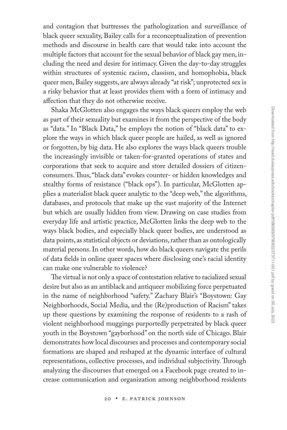and contagion that buttresses the pathologization and surveillance of black queer sexuality, Bailey calls for a reconceptualization of prevention methods and discourse in health care that would take into account the multiple factors that account for the sexual behavior of black gay men, including the need and desire for intimacy. Given the day-to-day struggles within structures of systemic racism, classism, and homophobia, black queer men, Bailey suggests, are always already "at risk"; unprotected sex is a risky behavior that at least provides them with a form of intimacy and affection that they do not otherwise receive.

Shaka McGlotten also engages the ways black queers employ the web as part of their sexuality but examines it from the perspective of the body as "data." In "Black Data," he employs the notion of "black data" to explore the ways in which black queer people are hailed, as well as ignored or forgotten, by big data. He also explores the ways black queers trouble the increasingly invisible or taken-for-granted operations of states and corporations that seek to acquire and store detailed dossiers of citizenconsumers. Thus, "black data" evokes counter- or hidden knowledges and stealthy forms of resistance ("black ops"). In particular, McGlotten applies a materialist black queer analytic to the "deep web," the algorithms, databases, and protocols that make up the vast majority of the Internet but which are usually hidden from view. Drawing on case studies from everyday life and artistic practice, McGlotten links the deep web to the ways black bodies, and especially black queer bodies, are understood as data points, as statistical objects or deviations, rather than as ontologically material persons. In other words, how do black queers navigate the perils of data fields in online queer spaces where disclosing one's racial identity can make one vulnerable to violence?

The virtual is not only a space of contestation relative to racialized sexual desire but also as an antiblack and antiqueer mobilizing force perpetuated in the name of neighborhood "safety." Zachary Blair's "Boystown: Gay Neighborhoods, Social Media, and the (Re)production of Racism" takes up these questions by examining the response of residents to a rash of violent neighborhood muggings purportedly perpetrated by black queer youth in the Boystown "gayborhood" on the north side of Chicago. Blair demonstrates how local discourses and processes and contemporary social formations are shaped and reshaped at the dynamic interface of cultural representations, collective processes, and individual subjectivity. Through analyzing the discourses that emerged on a Facebook page created to increase communication and organization among neighborhood residents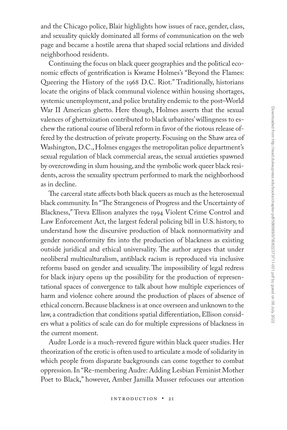and the Chicago police, Blair highlights how issues of race, gender, class, and sexuality quickly dominated all forms of communication on the web page and became a hostile arena that shaped social relations and divided neighborhood residents.

Continuing the focus on black queer geographies and the political economic effects of gentrification is Kwame Holmes's "Beyond the Flames: Queering the History of the 1968 D.C. Riot." Traditionally, historians locate the origins of black communal violence within housing shortages, systemic unemployment, and police brutality endemic to the post–World War II American ghetto. Here though, Holmes asserts that the sexual valences of ghettoization contributed to black urbanites' willingness to eschew the rational course of liberal reform in favor of the riotous release offered by the destruction of private property. Focusing on the Shaw area of Washington, D.C., Holmes engages the metropolitan police department's sexual regulation of black commercial areas, the sexual anxieties spawned by overcrowding in slum housing, and the symbolic work queer black residents, across the sexuality spectrum performed to mark the neighborhood as in decline.

The carceral state affects both black queers as much as the heterosexual black community. In "The Strangeness of Progress and the Uncertainty of Blackness," Treva Ellison analyzes the 1994 Violent Crime Control and Law Enforcement Act, the largest federal policing bill in U.S. history, to understand how the discursive production of black nonnormativity and gender nonconformity fits into the production of blackness as existing outside juridical and ethical universality. The author argues that under neoliberal multiculturalism, antiblack racism is reproduced via inclusive reforms based on gender and sexuality. The impossibility of legal redress for black injury opens up the possibility for the production of representational spaces of convergence to talk about how multiple experiences of harm and violence cohere around the production of places of absence of ethical concern. Because blackness is at once overseen and unknown to the law, a contradiction that conditions spatial differentiation, Ellison considers what a politics of scale can do for multiple expressions of blackness in the current moment.

Audre Lorde is a much-revered figure within black queer studies. Her theorization of the erotic is often used to articulate a mode of solidarity in which people from disparate backgrounds can come together to combat oppression. In "Re-membering Audre: Adding Lesbian Feminist Mother Poet to Black," however, Amber Jamilla Musser refocuses our attention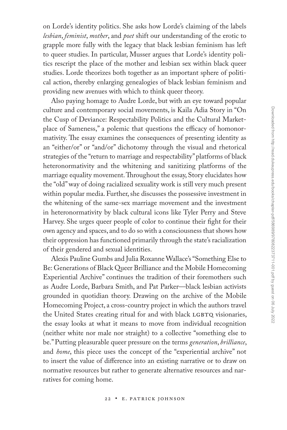on Lorde's identity politics. She asks how Lorde's claiming of the labels *lesbian*, *feminist*, *mother*, and *poet* shift our understanding of the erotic to grapple more fully with the legacy that black lesbian feminism has left to queer studies. In particular, Musser argues that Lorde's identity politics rescript the place of the mother and lesbian sex within black queer studies. Lorde theorizes both together as an important sphere of political action, thereby enlarging genealogies of black lesbian feminism and providing new avenues with which to think queer theory.

Also paying homage to Audre Lorde, but with an eye toward popular culture and contemporary social movements, is Kaila Adia Story in "On the Cusp of Deviance: Respectability Politics and the Cultural Marketplace of Sameness," a polemic that questions the efficacy of homonormativity. The essay examines the consequences of presenting identity as an "either/or" or "and/or" dichotomy through the visual and rhetorical strategies of the "return to marriage and respectability" platforms of black heteronormativity and the whitening and sanitizing platforms of the marriage equality movement. Throughout the essay, Story elucidates how the "old" way of doing racialized sexuality work is still very much present within popular media. Further, she discusses the possessive investment in the whitening of the same-sex marriage movement and the investment in heteronormativity by black cultural icons like Tyler Perry and Steve Harvey. She urges queer people of color to continue their fight for their own agency and spaces, and to do so with a consciousness that shows how their oppression has functioned primarily through the state's racialization of their gendered and sexual identities.

Alexis Pauline Gumbs and Julia Roxanne Wallace's "Something Else to Be: Generations of Black Queer Brilliance and the Mobile Homecoming Experiential Archive" continues the tradition of their foremothers such as Audre Lorde, Barbara Smith, and Pat Parker—black lesbian activists grounded in quotidian theory. Drawing on the archive of the Mobile Homecoming Project, a cross-country project in which the authors travel the United States creating ritual for and with black LGBTQ visionaries, the essay looks at what it means to move from individual recognition (neither white nor male nor straight) to a collective "something else to be." Putting pleasurable queer pressure on the terms *generation*, *brilliance*, and *home*, this piece uses the concept of the "experiential archive" not to insert the value of difference into an existing narrative or to draw on normative resources but rather to generate alternative resources and narratives for coming home.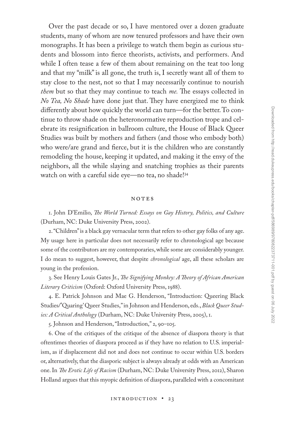<span id="page-22-0"></span>Over the past decade or so, I have mentored over a dozen graduate students, many of whom are now tenured professors and have their own monographs. It has been a privilege to watch them begin as curious students and blossom into fierce theorists, activists, and performers. And while I often tease a few of them about remaining on the teat too long and that my "milk" is all gone, the truth is, I secretly want all of them to stay close to the nest, not so that I may necessarily continue to nourish *them* but so that they may continue to teach *me.* The essays collected in *No Tea, No Shade* have done just that. They have energized me to think differently about how quickly the world can turn—for the better. To continue to throw shade on the heteronormative reproduction trope and celebrate its resignification in ballroom culture, the House of Black Queer Studies was built by mothers and fathers (and those who embody both) who were/are grand and fierce, but it is the children who are constantly remodeling the house, keeping it updated, and making it the envy of the neighbors, all the while slaying and snatching trophies as their parents watch on with a careful side eye—no tea, no shade[!34](#page-25-0)

## NOTES

1. John D'Emilio, *The World Turned: Essays on Gay History, Politics, and Culture* (Durham, NC: Duke University Press, 2002).

2. "Children" is a black gay vernacular term that refers to other gay folks of any age. My usage here in particular does not necessarily refer to chronological age because some of the contributors are my contemporaries, while some are considerably younger. I do mean to suggest, however, that despite *chronological* age, all these scholars are young in the profession.

3. See Henry Louis Gates Jr., *The Signifying Monkey: A Theory of African American Literary Criticism* (Oxford: Oxford University Press, 1988).

4. E. Patrick Johnson and Mae G. Henderson, "Introduction: Queering Black Studies/'Quaring' Queer Studies," in Johnson and Henderson, eds., *Black Queer Studies: A Critical Anthology* (Durham, NC: Duke University Press, 2005), 1.

5. Johnson and Henderson, "Introduction," 2, 90–105.

6. One of the critiques of the critique of the absence of diaspora theory is that oftentimes theories of diaspora proceed as if they have no relation to U.S. imperialism, as if displacement did not and does not continue to occur within U.S. borders or, alternatively, that the diasporic subject is always already at odds with an American one. In *The Erotic Life of Racism* (Durham, NC: Duke University Press, 2012), Sharon Holland argues that this myopic definition of diaspora, paralleled with a concomitant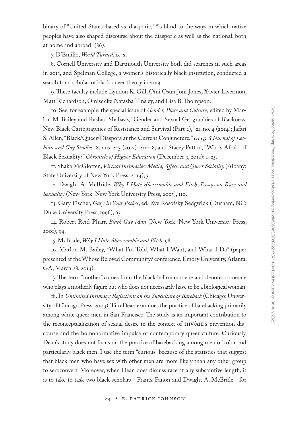<span id="page-23-0"></span>binary of "United States–based vs. diasporic," "is blind to the ways in which native peoples have also shaped discourse about the diasporic as well as the national, both at home and abroad" (86).

7. D'Emilio, *World Turned*, ix–x.

8. Cornell University and Dartmouth University both did searches in such areas in 2013, and Spelman College, a women's historically black institution, conducted a search for a scholar of black queer theory in 2014.

9. These faculty include Lyndon K. Gill, Omi Osun Joni Jones, Xavier Livermon, Matt Richardson, Omise'eke Natasha Tinsley, and Lisa B. Thompson.

10. See, for example, the special issue of *Gender, Place and Culture,* edited by Marlon M. Bailey and Rashad Shabazz, "Gender and Sexual Geographies of Blackness: New Black Cartographies of Resistance and Survival (Part 2)," 21, no. 4 (2014); Jafari S. Allen, "Black/Queer/Diaspora at the Current Conjuncture," GLQ: A Journal of Les*bian and Gay Studies* 18, nos. 2–3 (2012): 211–48; and Stacey Patton, "Who's Afraid of Black Sexuality?" *Chronicle of Higher Education* (December 3, 2012): 1–25.

11. Shaka McGlotten, *Virtual Intimacies: Media, Affect, and Queer Sociality* (Albany: State University of New York Press, 2014), 3.

12. Dwight A. McBride, *Why I Hate Abercrombie and Fitch: Essays on Race and Sexuality* (New York: New York University Press, 2005), 110.

13. Gary Fischer, *Gary in Your Pocket*, ed. Eve Kosofsky Sedgwick (Durham, NC: Duke University Press, 1996), 65.

14. Robert Reid-Pharr, *Black Gay Man* (New York: New York University Press, 2001), 94.

15. McBride, *Why I Hate Abercrombie and Fitch*, 98.

16. Marlon M. Bailey, "What I'm Told, What I Want, and What I Do" (paper presented at the Whose Beloved Community? conference, Emory University, Atlanta, GA, March 28, 2014).

17. The term "mother" comes from the black ballroom scene and denotes someone who plays a motherly figure but who does not necessarily have to be a biological woman.

18. In *Unlimited Intimacy: Reflections on the Subculture of Bareback* (Chicago: University of Chicago Press, 2009), Tim Dean examines the practice of barebacking primarily among white queer men in San Francisco. The study is an important contribution to the reconceptualization of sexual desire in the context of HIV/AIDS prevention discourse and the homonormative impulse of contemporary queer culture. Curiously, Dean's study does not focus on the practice of barebacking among men of color and particularly black men. I use the term "curious" because of the statistics that suggest that black men who have sex with other men are more likely than any other group to seroconvert. Moreover, when Dean does discuss race at any substantive length, it is to take to task two black scholars—Frantz Fanon and Dwight A. McBride—for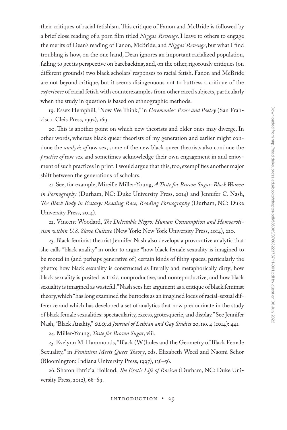<span id="page-24-0"></span>their critiques of racial fetishism. This critique of Fanon and McBride is followed by a brief close reading of a porn film titled *Niggas' Revenge*. I leave to others to engage the merits of Dean's reading of Fanon, McBride, and *Niggas' Revenge*, but what I find troubling is how, on the one hand, Dean ignores an important racialized population, failing to get its perspective on barebacking, and, on the other, rigorously critiques (on diferent grounds) two black scholars' responses to racial fetish. Fanon and McBride are not beyond critique, but it seems disingenuous not to buttress a critique of the *experience* of racial fetish with counterexamples from other raced subjects, particularly when the study in question is based on ethnographic methods.

19. Essex Hemphill, "Now We Think," in *Ceremonies: Prose and Poetry* (San Francisco: Cleis Press, 1992), 169.

20. This is another point on which new theorists and older ones may diverge. In other words, whereas black queer theorists of my generation and earlier might condone the *analysis of* raw sex, some of the new black queer theorists also condone the *practice of* raw sex and sometimes acknowledge their own engagement in and enjoyment of such practices in print. I would argue that this, too, exemplifies another major shift between the generations of scholars.

21. See, for example, Mireille Miller-Young, *A Taste for Brown Sugar: Black Women in Pornography* (Durham, NC: Duke University Press, 2014) and Jennifer C. Nash, *The Black Body in Ecstasy: Reading Race, Reading Pornography* (Durham, NC: Duke University Press, 2014).

22. Vincent Woodard, *The Delectable Negro: Human Consumption and Homoeroticism within U.S. Slave Culture* (New York: New York University Press, 2014), 220.

23. Black feminist theorist Jennifer Nash also develops a provocative analytic that she calls "black anality" in order to argue "how black female sexuality is imagined to be rooted in (and perhaps generative of) certain kinds of filthy spaces, particularly the ghetto; how black sexuality is constructed as literally and metaphorically dirty; how black sexuality is posited as toxic, nonproductive, and nonreproductive; and how black sexuality is imagined as wasteful." Nash sees her argument as a critique of black feminist theory, which "has long examined the buttocks as an imagined locus of racial-sexual difference and which has developed a set of analytics that now predominate in the study of black female sexualities: spectacularity, excess, grotesquerie, and display." See Jennifer Nash, "Black Anality," GLQ: A Journal of Lesbian and Gay Studies 20, no. 4 (2014): 441.

24. Miller-Young, *Taste for Brown Sugar*, viii.

25. Evelynn M. Hammonds, "Black (W)holes and the Geometry of Black Female Sexuality," in *Feminism Meets Queer Theory*, eds. Elizabeth Weed and Naomi Schor (Bloomington: Indiana University Press, 1997), 136–56.

26. Sharon Patricia Holland, *The Erotic Life of Racism* (Durham, NC: Duke University Press, 2012), 68–69.